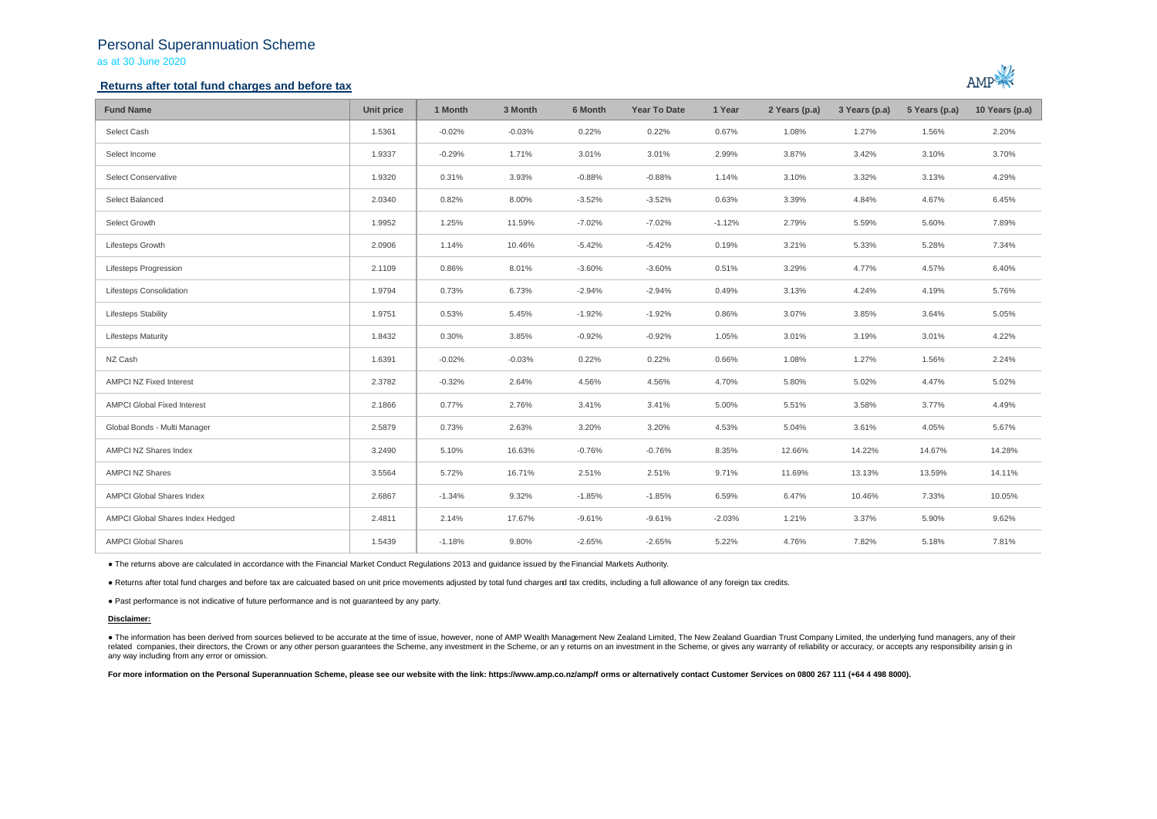## Personal Superannuation Scheme as at 30 June 2020

## **Returns after total fund charges and before tax**



| <b>Fund Name</b>                   | Unit price | 1 Month  | 3 Month  | 6 Month  | <b>Year To Date</b> | 1 Year   | 2 Years (p.a) | 3 Years (p.a) | 5 Years (p.a) | 10 Years (p.a) |
|------------------------------------|------------|----------|----------|----------|---------------------|----------|---------------|---------------|---------------|----------------|
| Select Cash                        | 1.5361     | $-0.02%$ | $-0.03%$ | 0.22%    | 0.22%               | 0.67%    | 1.08%         | 1.27%         | 1.56%         | 2.20%          |
| Select Income                      | 1.9337     | $-0.29%$ | 1.71%    | 3.01%    | 3.01%               | 2.99%    | 3.87%         | 3.42%         | 3.10%         | 3.70%          |
| Select Conservative                | 1.9320     | 0.31%    | 3.93%    | $-0.88%$ | $-0.88%$            | 1.14%    | 3.10%         | 3.32%         | 3.13%         | 4.29%          |
| Select Balanced                    | 2.0340     | 0.82%    | 8.00%    | $-3.52%$ | $-3.52%$            | 0.63%    | 3.39%         | 4.84%         | 4.67%         | 6.45%          |
| Select Growth                      | 1.9952     | 1.25%    | 11.59%   | $-7.02%$ | $-7.02%$            | $-1.12%$ | 2.79%         | 5.59%         | 5.60%         | 7.89%          |
| Lifesteps Growth                   | 2.0906     | 1.14%    | 10.46%   | $-5.42%$ | $-5.42%$            | 0.19%    | 3.21%         | 5.33%         | 5.28%         | 7.34%          |
| Lifesteps Progression              | 2.1109     | 0.86%    | 8.01%    | $-3.60%$ | $-3.60%$            | 0.51%    | 3.29%         | 4.77%         | 4.57%         | 6.40%          |
| Lifesteps Consolidation            | 1.9794     | 0.73%    | 6.73%    | $-2.94%$ | $-2.94%$            | 0.49%    | 3.13%         | 4.24%         | 4.19%         | 5.76%          |
| <b>Lifesteps Stability</b>         | 1.9751     | 0.53%    | 5.45%    | $-1.92%$ | $-1.92%$            | 0.86%    | 3.07%         | 3.85%         | 3.64%         | 5.05%          |
| <b>Lifesteps Maturity</b>          | 1.8432     | 0.30%    | 3.85%    | $-0.92%$ | $-0.92%$            | 1.05%    | 3.01%         | 3.19%         | 3.01%         | 4.22%          |
| NZ Cash                            | 1.6391     | $-0.02%$ | $-0.03%$ | 0.22%    | 0.22%               | 0.66%    | 1.08%         | 1.27%         | 1.56%         | 2.24%          |
| AMPCI NZ Fixed Interest            | 2.3782     | $-0.32%$ | 2.64%    | 4.56%    | 4.56%               | 4.70%    | 5.80%         | 5.02%         | 4.47%         | 5.02%          |
| <b>AMPCI Global Fixed Interest</b> | 2.1866     | 0.77%    | 2.76%    | 3.41%    | 3.41%               | 5.00%    | 5.51%         | 3.58%         | 3.77%         | 4.49%          |
| Global Bonds - Multi Manager       | 2.5879     | 0.73%    | 2.63%    | 3.20%    | 3.20%               | 4.53%    | 5.04%         | 3.61%         | 4.05%         | 5.67%          |
| AMPCI NZ Shares Index              | 3.2490     | 5.10%    | 16.63%   | $-0.76%$ | $-0.76%$            | 8.35%    | 12.66%        | 14.22%        | 14.67%        | 14.28%         |
| <b>AMPCI NZ Shares</b>             | 3.5564     | 5.72%    | 16.71%   | 2.51%    | 2.51%               | 9.71%    | 11.69%        | 13.13%        | 13.59%        | 14.11%         |
| AMPCI Global Shares Index          | 2.6867     | $-1.34%$ | 9.32%    | $-1.85%$ | $-1.85%$            | 6.59%    | 6.47%         | 10.46%        | 7.33%         | 10.05%         |
| AMPCI Global Shares Index Hedged   | 2.4811     | 2.14%    | 17.67%   | $-9.61%$ | $-9.61%$            | $-2.03%$ | 1.21%         | 3.37%         | 5.90%         | 9.62%          |
| <b>AMPCI Global Shares</b>         | 1.5439     | $-1.18%$ | 9.80%    | $-2.65%$ | $-2.65%$            | 5.22%    | 4.76%         | 7.82%         | 5.18%         | 7.81%          |

● The returns above are calculated in accordance with the Financial Market Conduct Regulations 2013 and guidance issued by the Financial Markets Authority.

● Returns after total fund charges and before tax are calcuated based on unit price movements adjusted by total fund charges and tax credits, including a full allowance of any foreign tax credits.

● Past performance is not indicative of future performance and is not guaranteed by any party.

### **Disclaimer:**

. The information has been derived from sources believed to be accurate at the time of issue, however, none of AMP Wealth Management New Zealand Limited, The New Zealand Guardian Trust Company Limited, the underlying fund related companies, their directors, the Crown or any other person quarantees the Scheme, any investment in the Scheme, or any returns on an investment in the Scheme, or qives any warranty of reliability or accuracy, or acc any way including from any error or omission.

For more information on the Personal Superannuation Scheme, please see our website with the link: https://www.amp.co.nz/amp/f orms or alternatively contact Customer Services on 0800 267 111 (+64 4 498 8000).